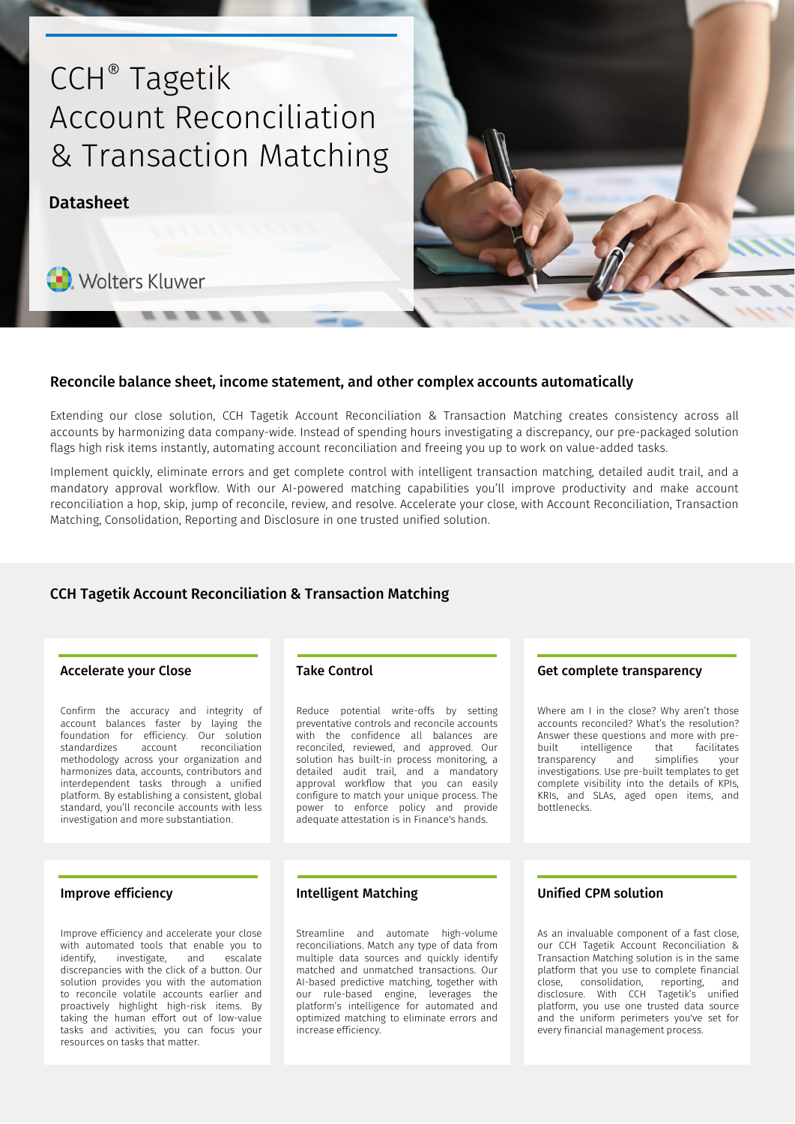# CCH® Tagetik Account Reconciliation & Transaction Matching

### Datasheet

**Wolters Kluwer** 



#### Reconcile balance sheet, income statement, and other complex accounts automatically

Extending our close solution, CCH Tagetik Account Reconciliation & Transaction Matching creates consistency across all accounts by harmonizing data company-wide. Instead of spending hours investigating a discrepancy, our pre-packaged solution flags high risk items instantly, automating account reconciliation and freeing you up to work on value-added tasks.

Implement quickly, eliminate errors and get complete control with intelligent transaction matching, detailed audit trail, and a mandatory approval workflow. With our AI-powered matching capabilities you'll improve productivity and make account reconciliation a hop, skip, jump of reconcile, review, and resolve. Accelerate your close, with Account Reconciliation, Transaction Matching, Consolidation, Reporting and Disclosure in one trusted unified solution.

## CCH Tagetik Account Reconciliation & Transaction Matching

#### Accelerate your Close

Confirm the accuracy and integrity of account balances faster by laying the foundation for efficiency. Our solution standardizes account reconciliation methodology across your organization and harmonizes data, accounts, contributors and interdependent tasks through a unified platform. By establishing a consistent, global standard, you'll reconcile accounts with less investigation and more substantiation.

# Take Control

Reduce potential write-offs by setting preventative controls and reconcile accounts with the confidence all balances are reconciled, reviewed, and approved. Our solution has built-in process monitoring, a detailed audit trail, and a mandatory approval workflow that you can easily configure to match your unique process. The power to enforce policy and provide adequate attestation is in Finance's hands.

#### Get complete transparency

Where am I in the close? Why aren't those accounts reconciled? What's the resolution? Answer these questions and more with prebuilt intelligence that facilitates<br>transparency and simplifies your transparency and simplifies your investigations. Use pre-built templates to get complete visibility into the details of KPIs, KRIs, and SLAs, aged open items, and bottlenecks.

#### Improve efficiency

Improve efficiency and accelerate your close with automated tools that enable you to identify, investigate, and escalate discrepancies with the click of a button. Our solution provides you with the automation to reconcile volatile accounts earlier and proactively highlight high-risk items. By taking the human effort out of low-value tasks and activities, you can focus your resources on tasks that matter.

#### Intelligent Matching

Streamline and automate high-volume reconciliations. Match any type of data from multiple data sources and quickly identify matched and unmatched transactions. Our AI-based predictive matching, together with our rule-based engine, leverages the platform's intelligence for automated and optimized matching to eliminate errors and increase efficiency.

#### Unified CPM solution

As an invaluable component of a fast close, our CCH Tagetik Account Reconciliation & Transaction Matching solution is in the same platform that you use to complete financial close, consolidation, reporting, and disclosure. With CCH Tagetik's unified platform, you use one trusted data source and the uniform perimeters you've set for every financial management process.